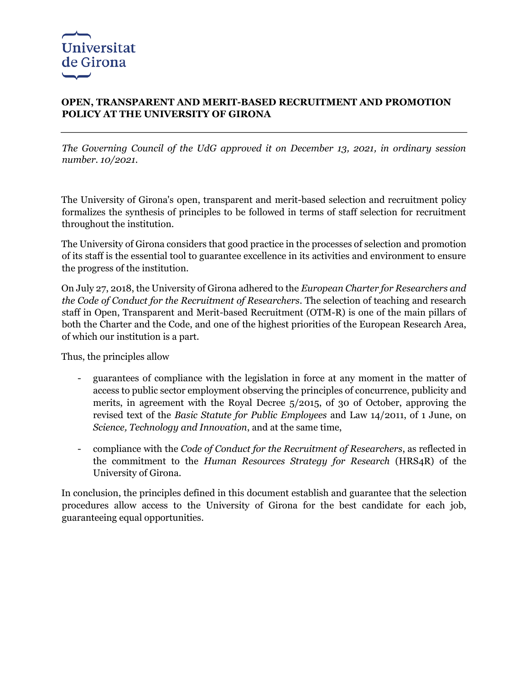## **OPEN, TRANSPARENT AND MERIT-BASED RECRUITMENT AND PROMOTION POLICY AT THE UNIVERSITY OF GIRONA**

*The Governing Council of the UdG approved it on December 13, 2021, in ordinary session number. 10/2021.*

The University of Girona's open, transparent and merit-based selection and recruitment policy formalizes the synthesis of principles to be followed in terms of staff selection for recruitment throughout the institution.

The University of Girona considers that good practice in the processes of selection and promotion of its staff is the essential tool to guarantee excellence in its activities and environment to ensure the progress of the institution.

On July 27, 2018, the University of Girona adhered to the *European Charter for Researchers and the Code of Conduct for the Recruitment of Researchers*. The selection of teaching and research staff in Open, Transparent and Merit-based Recruitment (OTM-R) is one of the main pillars of both the Charter and the Code, and one of the highest priorities of the European Research Area, of which our institution is a part.

Thus, the principles allow

- guarantees of compliance with the legislation in force at any moment in the matter of access to public sector employment observing the principles of concurrence, publicity and merits, in agreement with the Royal Decree 5/2015, of 30 of October, approving the revised text of the *Basic Statute for Public Employees* and Law 14/2011, of 1 June, on *Science, Technology and Innovation*, and at the same time,
- compliance with the *Code of Conduct for the Recruitment of Researchers*, as reflected in the commitment to the *Human Resources Strategy for Research* (HRS4R) of the University of Girona.

In conclusion, the principles defined in this document establish and guarantee that the selection procedures allow access to the University of Girona for the best candidate for each job, guaranteeing equal opportunities.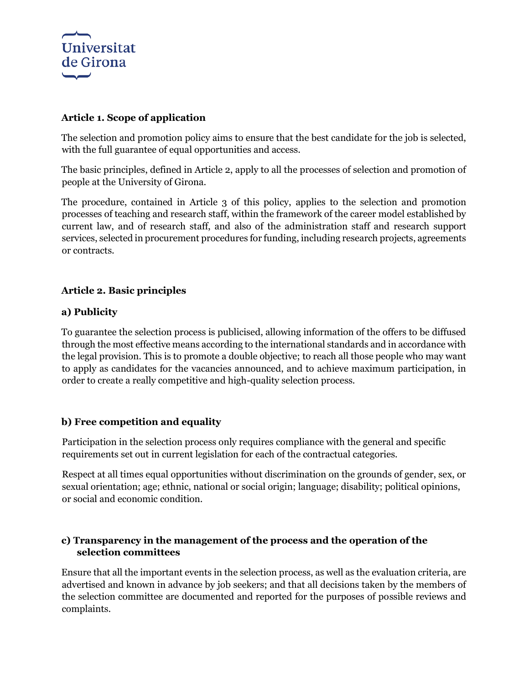

## **Article 1. Scope of application**

The selection and promotion policy aims to ensure that the best candidate for the job is selected, with the full guarantee of equal opportunities and access.

The basic principles, defined in Article 2, apply to all the processes of selection and promotion of people at the University of Girona.

The procedure, contained in Article 3 of this policy, applies to the selection and promotion processes of teaching and research staff, within the framework of the career model established by current law, and of research staff, and also of the administration staff and research support services, selected in procurement procedures for funding, including research projects, agreements or contracts.

# **Article 2. Basic principles**

## **a) Publicity**

To guarantee the selection process is publicised, allowing information of the offers to be diffused through the most effective means according to the international standards and in accordance with the legal provision. This is to promote a double objective; to reach all those people who may want to apply as candidates for the vacancies announced, and to achieve maximum participation, in order to create a really competitive and high-quality selection process.

## **b) Free competition and equality**

Participation in the selection process only requires compliance with the general and specific requirements set out in current legislation for each of the contractual categories.

Respect at all times equal opportunities without discrimination on the grounds of gender, sex, or sexual orientation; age; ethnic, national or social origin; language; disability; political opinions, or social and economic condition.

## **c) Transparency in the management of the process and the operation of the selection committees**

Ensure that all the important events in the selection process, as well as the evaluation criteria, are advertised and known in advance by job seekers; and that all decisions taken by the members of the selection committee are documented and reported for the purposes of possible reviews and complaints.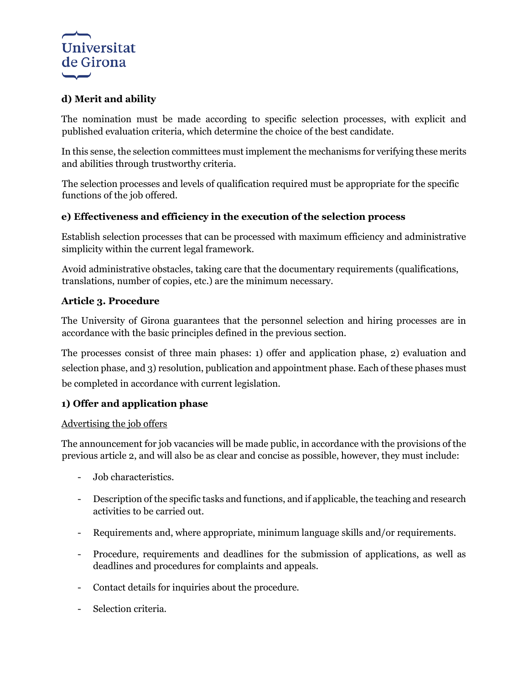

# **d) Merit and ability**

The nomination must be made according to specific selection processes, with explicit and published evaluation criteria, which determine the choice of the best candidate.

In this sense, the selection committees must implement the mechanisms for verifying these merits and abilities through trustworthy criteria.

The selection processes and levels of qualification required must be appropriate for the specific functions of the job offered.

## **e) Effectiveness and efficiency in the execution of the selection process**

Establish selection processes that can be processed with maximum efficiency and administrative simplicity within the current legal framework.

Avoid administrative obstacles, taking care that the documentary requirements (qualifications, translations, number of copies, etc.) are the minimum necessary.

## **Article 3. Procedure**

The University of Girona guarantees that the personnel selection and hiring processes are in accordance with the basic principles defined in the previous section.

The processes consist of three main phases: 1) offer and application phase, 2) evaluation and selection phase, and 3) resolution, publication and appointment phase. Each of these phases must be completed in accordance with current legislation.

# **1) Offer and application phase**

#### Advertising the job offers

The announcement for job vacancies will be made public, in accordance with the provisions of the previous article 2, and will also be as clear and concise as possible, however, they must include:

- Job characteristics.
- Description of the specific tasks and functions, and if applicable, the teaching and research activities to be carried out.
- Requirements and, where appropriate, minimum language skills and/or requirements.
- Procedure, requirements and deadlines for the submission of applications, as well as deadlines and procedures for complaints and appeals.
- Contact details for inquiries about the procedure.
- Selection criteria.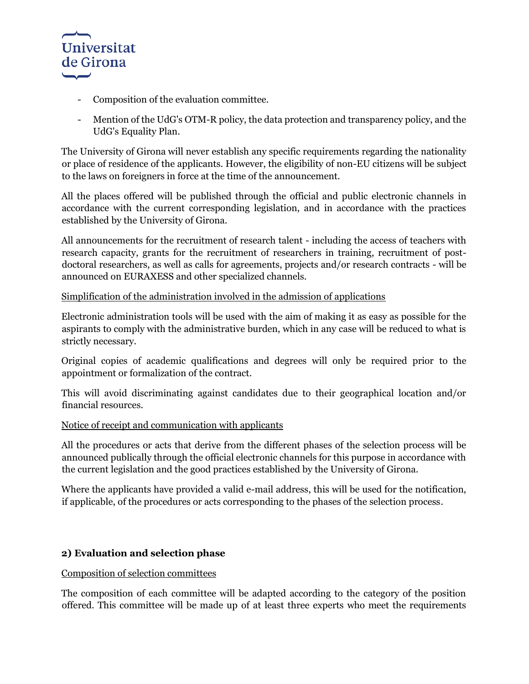

- Composition of the evaluation committee.
- Mention of the UdG's OTM-R policy, the data protection and transparency policy, and the UdG's Equality Plan.

The University of Girona will never establish any specific requirements regarding the nationality or place of residence of the applicants. However, the eligibility of non-EU citizens will be subject to the laws on foreigners in force at the time of the announcement.

All the places offered will be published through the official and public electronic channels in accordance with the current corresponding legislation, and in accordance with the practices established by the University of Girona.

All announcements for the recruitment of research talent - including the access of teachers with research capacity, grants for the recruitment of researchers in training, recruitment of postdoctoral researchers, as well as calls for agreements, projects and/or research contracts - will be announced on EURAXESS and other specialized channels.

### Simplification of the administration involved in the admission of applications

Electronic administration tools will be used with the aim of making it as easy as possible for the aspirants to comply with the administrative burden, which in any case will be reduced to what is strictly necessary.

Original copies of academic qualifications and degrees will only be required prior to the appointment or formalization of the contract.

This will avoid discriminating against candidates due to their geographical location and/or financial resources.

#### Notice of receipt and communication with applicants

All the procedures or acts that derive from the different phases of the selection process will be announced publically through the official electronic channels for this purpose in accordance with the current legislation and the good practices established by the University of Girona.

Where the applicants have provided a valid e-mail address, this will be used for the notification, if applicable, of the procedures or acts corresponding to the phases of the selection process.

## **2) Evaluation and selection phase**

#### Composition of selection committees

The composition of each committee will be adapted according to the category of the position offered. This committee will be made up of at least three experts who meet the requirements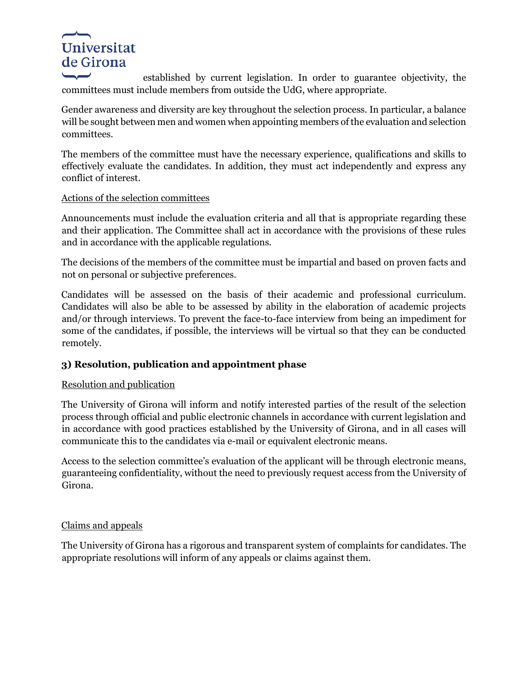# Universitat de Girona

established by current legislation. In order to guarantee objectivity, the committees must include members from outside the UdG, where appropriate.

Gender awareness and diversity are key throughout the selection process. In particular, a balance will be sought between men and women when appointing members of the evaluation and selection committees.

The members of the committee must have the necessary experience, qualifications and skills to effectively evaluate the candidates. In addition, they must act independently and express any conflict of interest.

## Actions of the selection committees

Announcements must include the evaluation criteria and all that is appropriate regarding these and their application. The Committee shall act in accordance with the provisions of these rules and in accordance with the applicable regulations.

The decisions of the members of the committee must be impartial and based on proven facts and not on personal or subjective preferences.

Candidates will be assessed on the basis of their academic and professional curriculum. Candidates will also be able to be assessed by ability in the elaboration of academic projects and/or through interviews. To prevent the face-to-face interview from being an impediment for some of the candidates, if possible, the interviews will be virtual so that they can be conducted remotely.

# **3) Resolution, publication and appointment phase**

## Resolution and publication

The University of Girona will inform and notify interested parties of the result of the selection process through official and public electronic channels in accordance with current legislation and in accordance with good practices established by the University of Girona, and in all cases will communicate this to the candidates via e-mail or equivalent electronic means.

Access to the selection committee's evaluation of the applicant will be through electronic means, guaranteeing confidentiality, without the need to previously request access from the University of Girona.

## Claims and appeals

The University of Girona has a rigorous and transparent system of complaints for candidates. The appropriate resolutions will inform of any appeals or claims against them.